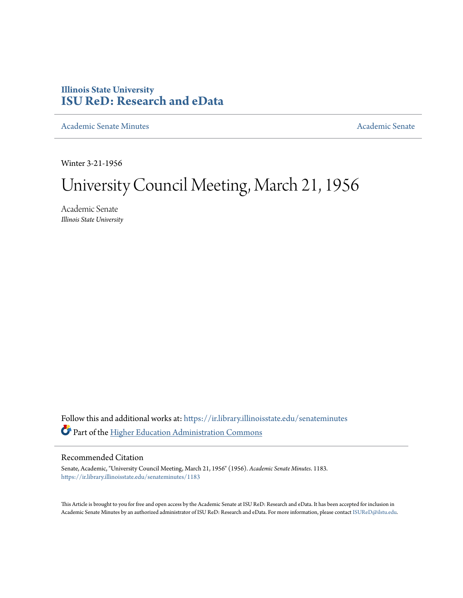# **Illinois State University [ISU ReD: Research and eData](https://ir.library.illinoisstate.edu?utm_source=ir.library.illinoisstate.edu%2Fsenateminutes%2F1183&utm_medium=PDF&utm_campaign=PDFCoverPages)**

[Academic Senate Minutes](https://ir.library.illinoisstate.edu/senateminutes?utm_source=ir.library.illinoisstate.edu%2Fsenateminutes%2F1183&utm_medium=PDF&utm_campaign=PDFCoverPages) [Academic Senate](https://ir.library.illinoisstate.edu/senate?utm_source=ir.library.illinoisstate.edu%2Fsenateminutes%2F1183&utm_medium=PDF&utm_campaign=PDFCoverPages) Academic Senate

Winter 3-21-1956

# University Council Meeting, March 21, 1956

Academic Senate *Illinois State University*

Follow this and additional works at: [https://ir.library.illinoisstate.edu/senateminutes](https://ir.library.illinoisstate.edu/senateminutes?utm_source=ir.library.illinoisstate.edu%2Fsenateminutes%2F1183&utm_medium=PDF&utm_campaign=PDFCoverPages) Part of the [Higher Education Administration Commons](http://network.bepress.com/hgg/discipline/791?utm_source=ir.library.illinoisstate.edu%2Fsenateminutes%2F1183&utm_medium=PDF&utm_campaign=PDFCoverPages)

## Recommended Citation

Senate, Academic, "University Council Meeting, March 21, 1956" (1956). *Academic Senate Minutes*. 1183. [https://ir.library.illinoisstate.edu/senateminutes/1183](https://ir.library.illinoisstate.edu/senateminutes/1183?utm_source=ir.library.illinoisstate.edu%2Fsenateminutes%2F1183&utm_medium=PDF&utm_campaign=PDFCoverPages)

This Article is brought to you for free and open access by the Academic Senate at ISU ReD: Research and eData. It has been accepted for inclusion in Academic Senate Minutes by an authorized administrator of ISU ReD: Research and eData. For more information, please contact [ISUReD@ilstu.edu.](mailto:ISUReD@ilstu.edu)